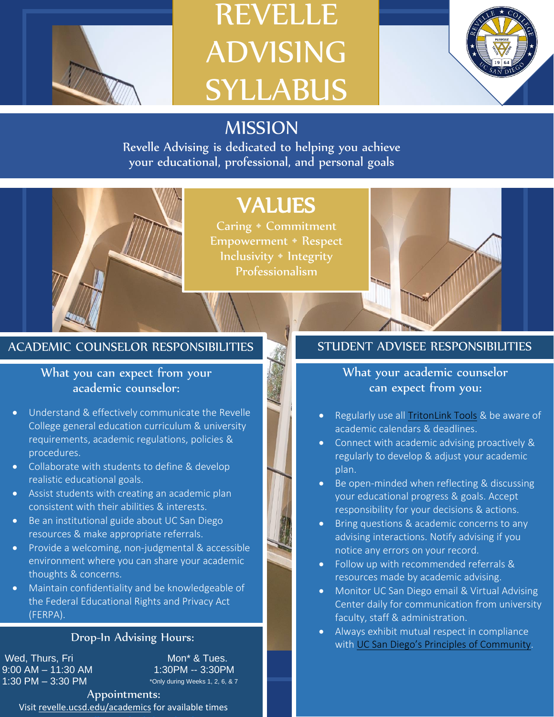

# REVELLE ADVISING SYLLABUS



# MISSION

Revelle Advising is dedicated to helping you achieve your educational, professional, and personal goals

# VALUES

Caring • Commitment Empowerment • Respect Inclusivity • Integrity Professionalism



#### What you can expect from your academic counselor:

- Understand & effectively communicate the Revelle College general education curriculum & university requirements, academic regulations, policies & procedures.
- Collaborate with students to define & develop realistic educational goals.
- Assist students with creating an academic plan consistent with their abilities & interests.
- Be an institutional guide about UC San Diego resources & make appropriate referrals.
- Provide a welcoming, non-judgmental & accessible environment where you can share your academic thoughts & concerns.
- Maintain confidentiality and be knowledgeable of the Federal Educational Rights and Privacy Act (FERPA).

#### Drop-In Advising Hours:

**Wed. Thurs. Fri** Mon<sup>\*</sup> & Tues. 9:00 AM - 11:30 AM 1:30PM -- 3:30PM 1:30 PM – 3:30 PM

\*Only during Weeks 1, 2, 6, & 7

Appointments: Visi[t revelle.ucsd.edu/academics](revelle.ucsd.edu/academics) for available times

### What your academic counselor can expect from you:

- Regularly use all [TritonLink Tools](https://students.ucsd.edu/my-tritonlink/tools/) & be aware of academic calendars & deadlines.
- Connect with academic advising proactively & regularly to develop & adjust your academic plan.
- Be open-minded when reflecting & discussing your educational progress & goals. Accept responsibility for your decisions & actions.
- Bring questions & academic concerns to any advising interactions. Notify advising if you notice any errors on your record.
- Follow up with recommended referrals & resources made by academic advising.
- Monitor UC San Diego email & Virtual Advising Center daily for communication from university faculty, staff & administration.
- Always exhibit mutual respect in compliance with [UC San Diego's Principles of Community](https://ucsd.edu/about/principles.html).